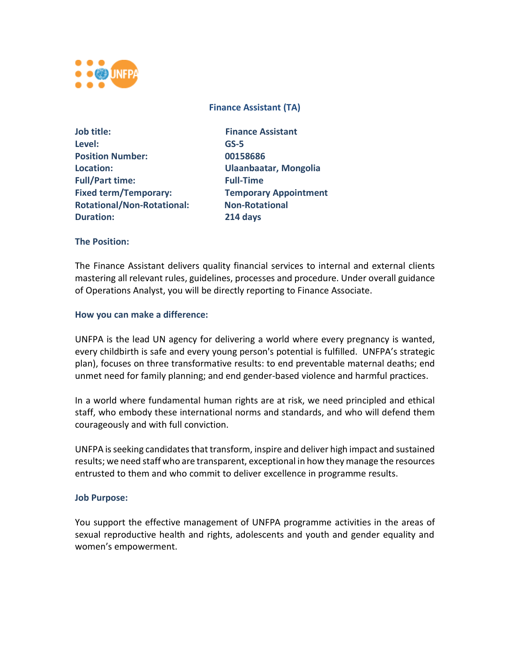

# **Finance Assistant (TA)**

| Job title:                        | Fina             |
|-----------------------------------|------------------|
| Level:                            | $GS-5$           |
| <b>Position Number:</b>           | 0015             |
| Location:                         | Ulaa             |
| <b>Full/Part time:</b>            | <b>Full-</b>     |
| <b>Fixed term/Temporary:</b>      | Tem              |
| <b>Rotational/Non-Rotational:</b> | Non-             |
| <b>Duration:</b>                  | 214 <sub>0</sub> |

**Finance Assistant Position Number: 00158686 Location: Ulaanbaatar, Mongolia Full-Time Fixed term/Temporary: Temporary Appointment Rotational/Non-Rotational: Non-Rotational Duration: 214 days**

# **The Position:**

The Finance Assistant delivers quality financial services to internal and external clients mastering all relevant rules, guidelines, processes and procedure. Under overall guidance of Operations Analyst, you will be directly reporting to Finance Associate.

#### **How you can make a difference:**

UNFPA is the lead UN agency for delivering a world where every pregnancy is wanted, every childbirth is safe and every young person's potential is fulfilled. UNFPA's strategic plan), focuses on three transformative results: to end preventable maternal deaths; end unmet need for family planning; and end gender-based violence and harmful practices.

In a world where fundamental human rights are at risk, we need principled and ethical staff, who embody these international norms and standards, and who will defend them courageously and with full conviction.

UNFPA is seeking candidates that transform, inspire and deliver high impact and sustained results; we need staff who are transparent, exceptional in how they manage the resources entrusted to them and who commit to deliver excellence in programme results.

#### **Job Purpose:**

You support the effective management of UNFPA programme activities in the areas of sexual reproductive health and rights, adolescents and youth and gender equality and women's empowerment.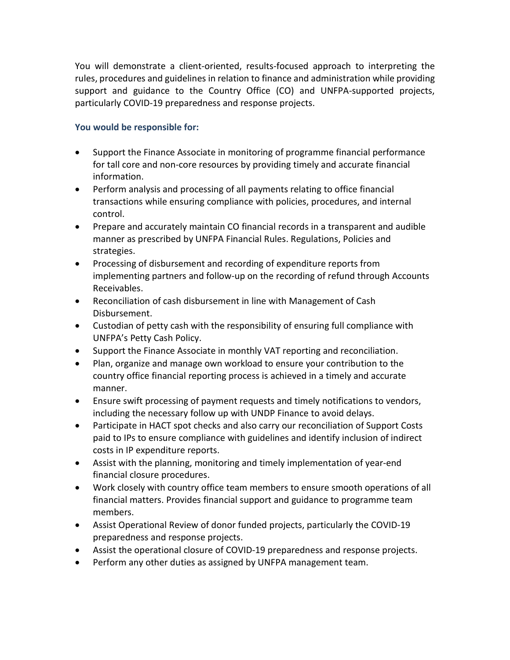You will demonstrate a client-oriented, results-focused approach to interpreting the rules, procedures and guidelines in relation to finance and administration while providing support and guidance to the Country Office (CO) and UNFPA-supported projects, particularly COVID-19 preparedness and response projects.

# **You would be responsible for:**

- Support the Finance Associate in monitoring of programme financial performance for tall core and non-core resources by providing timely and accurate financial information.
- Perform analysis and processing of all payments relating to office financial transactions while ensuring compliance with policies, procedures, and internal control.
- Prepare and accurately maintain CO financial records in a transparent and audible manner as prescribed by UNFPA Financial Rules. Regulations, Policies and strategies.
- Processing of disbursement and recording of expenditure reports from implementing partners and follow-up on the recording of refund through Accounts Receivables.
- Reconciliation of cash disbursement in line with Management of Cash Disbursement.
- Custodian of petty cash with the responsibility of ensuring full compliance with UNFPA's Petty Cash Policy.
- Support the Finance Associate in monthly VAT reporting and reconciliation.
- Plan, organize and manage own workload to ensure your contribution to the country office financial reporting process is achieved in a timely and accurate manner.
- Ensure swift processing of payment requests and timely notifications to vendors, including the necessary follow up with UNDP Finance to avoid delays.
- Participate in HACT spot checks and also carry our reconciliation of Support Costs paid to IPs to ensure compliance with guidelines and identify inclusion of indirect costs in IP expenditure reports.
- Assist with the planning, monitoring and timely implementation of year-end financial closure procedures.
- Work closely with country office team members to ensure smooth operations of all financial matters. Provides financial support and guidance to programme team members.
- Assist Operational Review of donor funded projects, particularly the COVID-19 preparedness and response projects.
- Assist the operational closure of COVID-19 preparedness and response projects.
- Perform any other duties as assigned by UNFPA management team.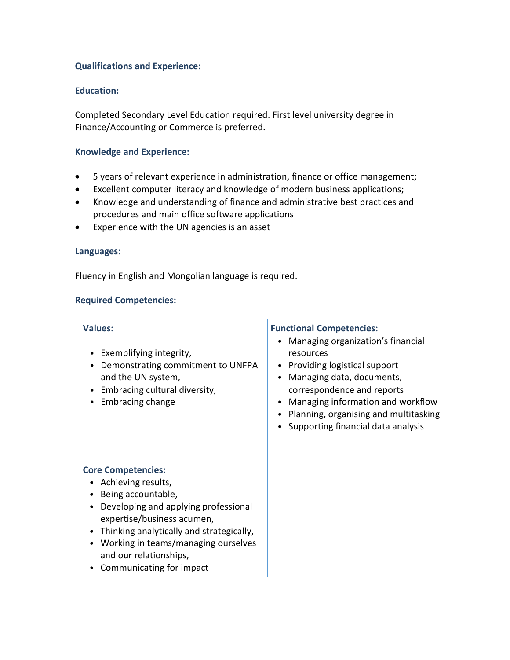# **Qualifications and Experience:**

# **Education:**

Completed Secondary Level Education required. First level university degree in Finance/Accounting or Commerce is preferred.

# **Knowledge and Experience:**

- 5 years of relevant experience in administration, finance or office management;
- Excellent computer literacy and knowledge of modern business applications;
- Knowledge and understanding of finance and administrative best practices and procedures and main office software applications
- Experience with the UN agencies is an asset

# **Languages:**

Fluency in English and Mongolian language is required.

# **Required Competencies:**

| <b>Values:</b><br>Exemplifying integrity,<br>Demonstrating commitment to UNFPA<br>$\bullet$<br>and the UN system,<br>Embracing cultural diversity,<br>Embracing change                                                                                                                                           | <b>Functional Competencies:</b><br>Managing organization's financial<br>resources<br>Providing logistical support<br>Managing data, documents,<br>correspondence and reports<br>Managing information and workflow<br>Planning, organising and multitasking<br>Supporting financial data analysis |
|------------------------------------------------------------------------------------------------------------------------------------------------------------------------------------------------------------------------------------------------------------------------------------------------------------------|--------------------------------------------------------------------------------------------------------------------------------------------------------------------------------------------------------------------------------------------------------------------------------------------------|
| <b>Core Competencies:</b><br>Achieving results,<br>Being accountable,<br>Developing and applying professional<br>٠<br>expertise/business acumen,<br>Thinking analytically and strategically,<br>$\bullet$<br>Working in teams/managing ourselves<br>٠<br>and our relationships,<br>Communicating for impact<br>٠ |                                                                                                                                                                                                                                                                                                  |